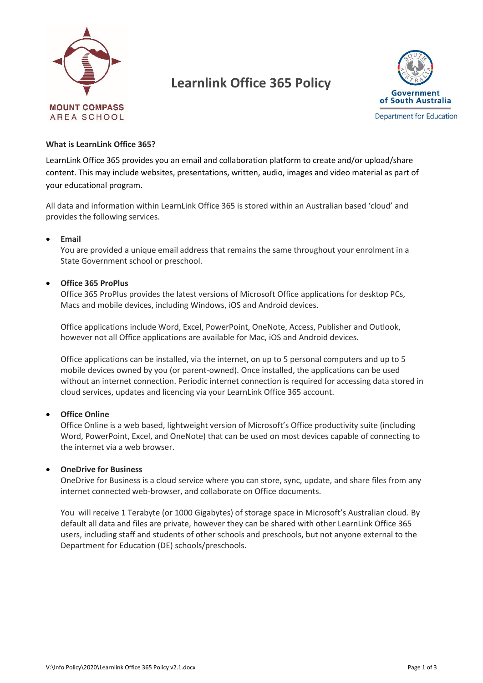

# **Learnlink Office 365 Policy**



#### **What is LearnLink Office 365?**

LearnLink Office 365 provides you an email and collaboration platform to create and/or upload/share content. This may include websites, presentations, written, audio, images and video material as part of your educational program.

All data and information within LearnLink Office 365 is stored within an Australian based 'cloud' and provides the following services.

#### • **Email**

You are provided a unique email address that remains the same throughout your enrolment in a State Government school or preschool.

#### • **Office 365 ProPlus**

Office 365 ProPlus provides the latest versions of Microsoft Office applications for desktop PCs, Macs and mobile devices, including Windows, iOS and Android devices.

Office applications include Word, Excel, PowerPoint, OneNote, Access, Publisher and Outlook, however not all Office applications are available for Mac, iOS and Android devices.

Office applications can be installed, via the internet, on up to 5 personal computers and up to 5 mobile devices owned by you (or parent-owned). Once installed, the applications can be used without an internet connection. Periodic internet connection is required for accessing data stored in cloud services, updates and licencing via your LearnLink Office 365 account.

#### • **Office Online**

Office Online is a web based, lightweight version of Microsoft's Office productivity suite (including Word, PowerPoint, Excel, and OneNote) that can be used on most devices capable of connecting to the internet via a web browser.

#### • **OneDrive for Business**

OneDrive for Business is a cloud service where you can store, sync, update, and share files from any internet connected web-browser, and collaborate on Office documents.

You will receive 1 Terabyte (or 1000 Gigabytes) of storage space in Microsoft's Australian cloud. By default all data and files are private, however they can be shared with other LearnLink Office 365 users, including staff and students of other schools and preschools, but not anyone external to the Department for Education (DE) schools/preschools.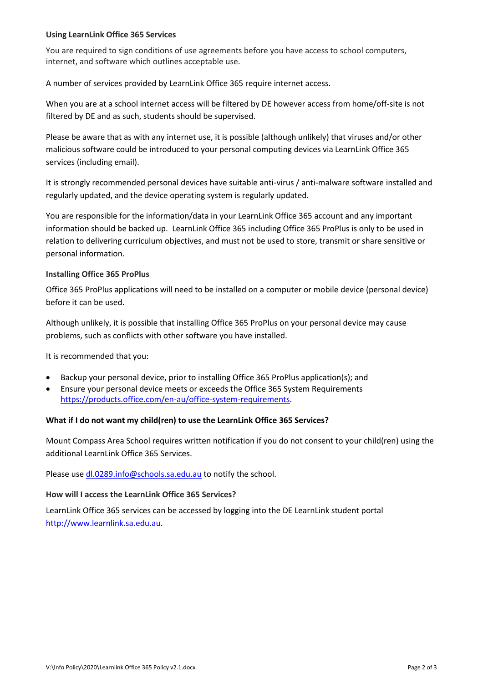# **Using LearnLink Office 365 Services**

You are required to sign conditions of use agreements before you have access to school computers, internet, and software which outlines acceptable use.

A number of services provided by LearnLink Office 365 require internet access.

When you are at a school internet access will be filtered by DE however access from home/off-site is not filtered by DE and as such, students should be supervised.

Please be aware that as with any internet use, it is possible (although unlikely) that viruses and/or other malicious software could be introduced to your personal computing devices via LearnLink Office 365 services (including email).

It is strongly recommended personal devices have suitable anti-virus / anti-malware software installed and regularly updated, and the device operating system is regularly updated.

You are responsible for the information/data in your LearnLink Office 365 account and any important information should be backed up. LearnLink Office 365 including Office 365 ProPlus is only to be used in relation to delivering curriculum objectives, and must not be used to store, transmit or share sensitive or personal information.

# **Installing Office 365 ProPlus**

Office 365 ProPlus applications will need to be installed on a computer or mobile device (personal device) before it can be used.

Although unlikely, it is possible that installing Office 365 ProPlus on your personal device may cause problems, such as conflicts with other software you have installed.

It is recommended that you:

- Backup your personal device, prior to installing Office 365 ProPlus application(s); and
- Ensure your personal device meets or exceeds the Office 365 System Requirements [https://products.office.com/en-au/office-system-requirements.](https://products.office.com/en-au/office-system-requirements)

## **What if I do not want my child(ren) to use the LearnLink Office 365 Services?**

Mount Compass Area School requires written notification if you do not consent to your child(ren) using the additional LearnLink Office 365 Services.

Please use [dl.0289.info@schools.sa.edu.au](mailto:dl.0289.info@schools.sa.edu.au) to notify the school.

## **How will I access the LearnLink Office 365 Services?**

LearnLink Office 365 services can be accessed by logging into the DE LearnLink student portal [http://www.learnlink.sa.edu.au.](http://www.learnlink.sa.edu.au/)